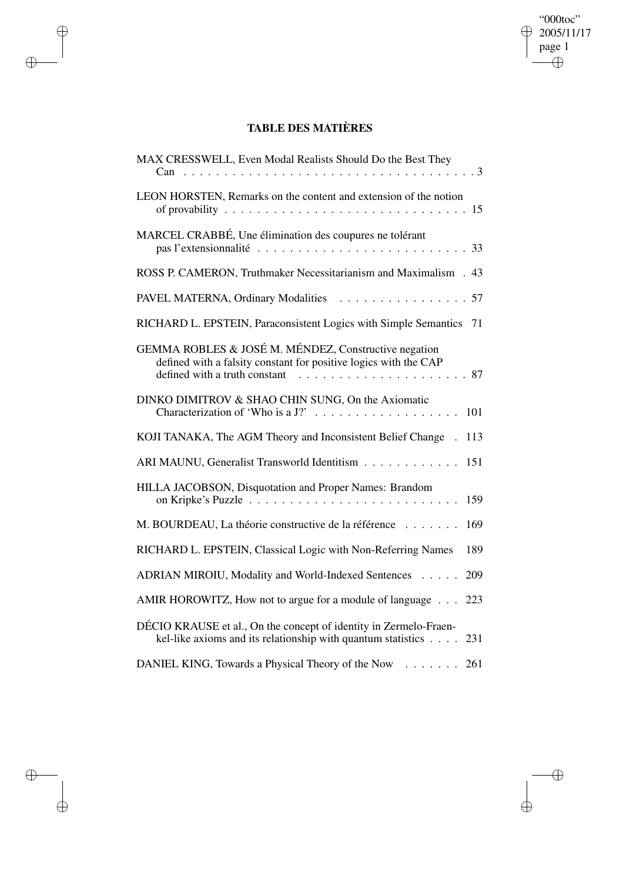## "000toc"  $\bigoplus_{\text{page 1}}^{00000} 2005/11/17$  $\overline{\bigoplus}$

 $\bigoplus$ 

 $\bigoplus$ 

## **TABLE DES MATIÈRES**

 $\bigoplus$ 

 $\bigoplus$ 

 $\bigoplus$ 

 $\bigoplus$ 

| MAX CRESSWELL, Even Modal Realists Should Do the Best They                                                                                                |
|-----------------------------------------------------------------------------------------------------------------------------------------------------------|
| LEON HORSTEN, Remarks on the content and extension of the notion                                                                                          |
| MARCEL CRABBÉ, Une élimination des coupures ne tolérant<br>33                                                                                             |
| ROSS P. CAMERON, Truthmaker Necessitarianism and Maximalism . 43                                                                                          |
| PAVEL MATERNA, Ordinary Modalities<br>. 57                                                                                                                |
| RICHARD L. EPSTEIN, Paraconsistent Logics with Simple Semantics 71                                                                                        |
| GEMMA ROBLES & JOSÉ M. MÉNDEZ, Constructive negation<br>defined with a falsity constant for positive logics with the CAP<br>defined with a truth constant |
| DINKO DIMITROV & SHAO CHIN SUNG, On the Axiomatic<br>101                                                                                                  |
| KOJI TANAKA, The AGM Theory and Inconsistent Belief Change<br>113                                                                                         |
| ARI MAUNU, Generalist Transworld Identitism<br>151                                                                                                        |
| HILLA JACOBSON, Disquotation and Proper Names: Brandom<br>159                                                                                             |
| M. BOURDEAU, La théorie constructive de la référence<br>169                                                                                               |
| RICHARD L. EPSTEIN, Classical Logic with Non-Referring Names<br>189                                                                                       |
| ADRIAN MIROIU, Modality and World-Indexed Sentences<br>209                                                                                                |
| AMIR HOROWITZ, How not to argue for a module of language<br>223                                                                                           |
| DÉCIO KRAUSE et al., On the concept of identity in Zermelo-Fraen-<br>kel-like axioms and its relationship with quantum statistics<br>231                  |
| DANIEL KING, Towards a Physical Theory of the Now<br>. 261                                                                                                |